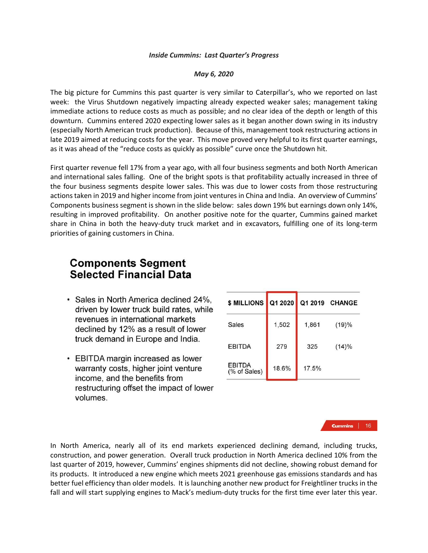## *Inside Cummins: Last Quarter's Progress*

## *May 6, 2020*

The big picture for Cummins this past quarter is very similar to Caterpillar's, who we reported on last week: the Virus Shutdown negatively impacting already expected weaker sales; management taking immediate actions to reduce costs as much as possible; and no clear idea of the depth or length of this downturn. Cummins entered 2020 expecting lower sales as it began another down swing in its industry (especially North American truck production). Because of this, management took restructuring actions in late 2019 aimed at reducing costs for the year. This move proved very helpful to its first quarter earnings, as it was ahead of the "reduce costs as quickly as possible" curve once the Shutdown hit.

First quarter revenue fell 17% from a year ago, with all four business segments and both North American and international sales falling. One of the bright spots is that profitability actually increased in three of the four business segments despite lower sales. This was due to lower costs from those restructuring actions taken in 2019 and higher income from joint ventures in China and India. An overview of Cummins' Components business segment is shown in the slide below: sales down 19% but earnings down only 14%, resulting in improved profitability. On another positive note for the quarter, Cummins gained market share in China in both the heavy-duty truck market and in excavators, fulfilling one of its long-term priorities of gaining customers in China.

## **Components Segment Selected Financial Data**

- · Sales in North America declined 24%, driven by lower truck build rates, while revenues in international markets declined by 12% as a result of lower truck demand in Europe and India.
- EBITDA margin increased as lower warranty costs, higher joint venture income, and the benefits from restructuring offset the impact of lower volumes.

| \$ MILLIONS                   | Q1 2020 | Q1 2019 | <b>CHANGE</b> |
|-------------------------------|---------|---------|---------------|
| Sales                         | 1,502   | 1,861   | (19)%         |
| <b>EBITDA</b>                 | 279     | 325     | $(14)\%$      |
| <b>EBITDA</b><br>(% of Sales) | 18.6%   | 17.5%   |               |

**Cummins** | 16

In North America, nearly all of its end markets experienced declining demand, including trucks, construction, and power generation. Overall truck production in North America declined 10% from the last quarter of 2019, however, Cummins' engines shipments did not decline, showing robust demand for its products. It introduced a new engine which meets 2021 greenhouse gas emissions standards and has better fuel efficiency than older models. It is launching another new product for Freightliner trucks in the fall and will start supplying engines to Mack's medium-duty trucks for the first time ever later this year.